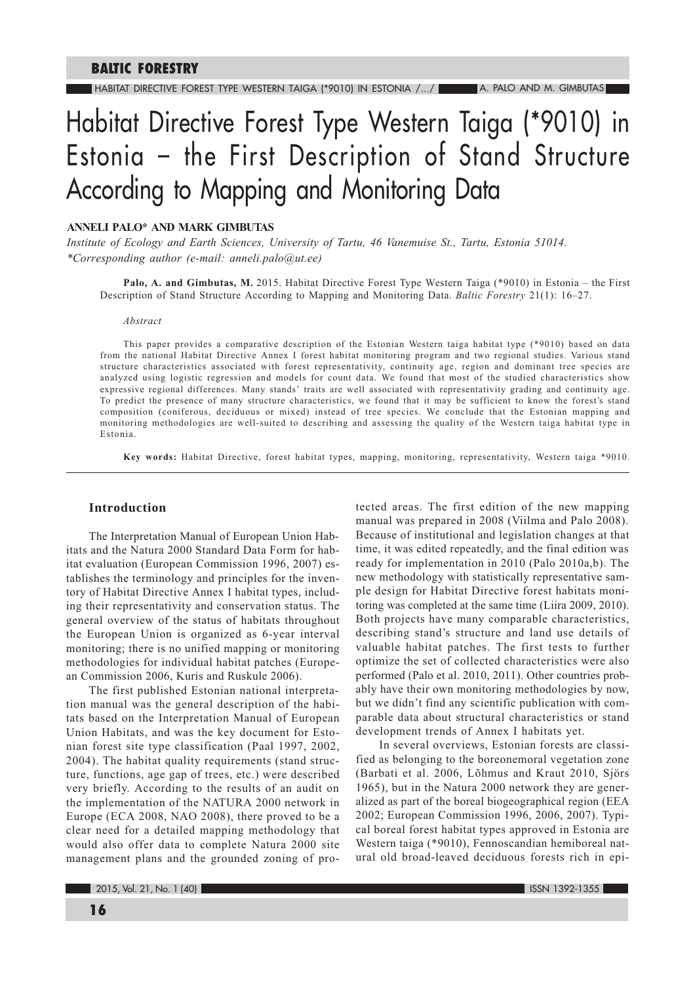# Habitat Directive Forest Type Western Taiga (\*9010) in Estonia - the First Description of Stand Structure According to Mapping and Monitoring Data

# ANNELI PALO\* AND MARK GIMBUTAS

Institute of Ecology and Earth Sciences, University of Tartu, 46 Vanemuise St., Tartu, Estonia 51014. \*Corresponding author (e-mail: anneli.palo@ut.ee)

Palo, A. and Gimbutas, M. 2015. Habitat Directive Forest Type Western Taiga (\*9010) in Estonia – the First Description of Stand Structure According to Mapping and Monitoring Data. Baltic Forestry 21(1): 16–27.

#### Abstract

This paper provides a comparative description of the Estonian Western taiga habitat type (\*9010) based on data from the national Habitat Directive Annex I forest habitat monitoring program and two regional studies. Various stand structure characteristics associated with forest representativity, continuity age, region and dominant tree species are analyzed using logistic regression and models for count data. We found that most of the studied characteristics show expressive regional differences. Many stands' traits are well associated with representativity grading and continuity age. To predict the presence of many structure characteristics, we found that it may be sufficient to know the forest's stand composition (coniferous, deciduous or mixed) instead of tree species. We conclude that the Estonian mapping and monitoring methodologies are well-suited to describing and assessing the quality of the Western taiga habitat type in Estonia

Key words: Habitat Directive, forest habitat types, mapping, monitoring, representativity, Western taiga \*9010.

# **Introduction**

The Interpretation Manual of European Union Habitats and the Natura 2000 Standard Data Form for habitat evaluation (European Commission 1996, 2007) establishes the terminology and principles for the inventory of Habitat Directive Annex I habitat types, including their representativity and conservation status. The general overview of the status of habitats throughout the European Union is organized as 6-year interval monitoring; there is no unified mapping or monitoring methodologies for individual habitat patches (European Commission 2006, Kuris and Ruskule 2006).

The first published Estonian national interpretation manual was the general description of the habitats based on the Interpretation Manual of European Union Habitats, and was the key document for Estonian forest site type classification (Paal 1997, 2002, 2004). The habitat quality requirements (stand structure, functions, age gap of trees, etc.) were described very briefly. According to the results of an audit on the implementation of the NATURA 2000 network in Europe (ECA 2008, NAO 2008), there proved to be a clear need for a detailed mapping methodology that would also offer data to complete Natura 2000 site management plans and the grounded zoning of protected areas. The first edition of the new mapping manual was prepared in 2008 (Viilma and Palo 2008). Because of institutional and legislation changes at that time, it was edited repeatedly, and the final edition was ready for implementation in 2010 (Palo 2010a,b). The new methodology with statistically representative sample design for Habitat Directive forest habitats monitoring was completed at the same time (Liira 2009, 2010). Both projects have many comparable characteristics, describing stand's structure and land use details of valuable habitat patches. The first tests to further optimize the set of collected characteristics were also performed (Palo et al. 2010, 2011). Other countries probably have their own monitoring methodologies by now, but we didn't find any scientific publication with comparable data about structural characteristics or stand development trends of Annex I habitats yet.

In several overviews, Estonian forests are classified as belonging to the boreonemoral vegetation zone (Barbati et al. 2006, Lõhmus and Kraut 2010, Sjörs 1965), but in the Natura 2000 network they are generalized as part of the boreal biogeographical region (EEA 2002; European Commission 1996, 2006, 2007). Typical boreal forest habitat types approved in Estonia are Western taiga (\*9010), Fennoscandian hemiboreal natural old broad-leaved deciduous forests rich in epi-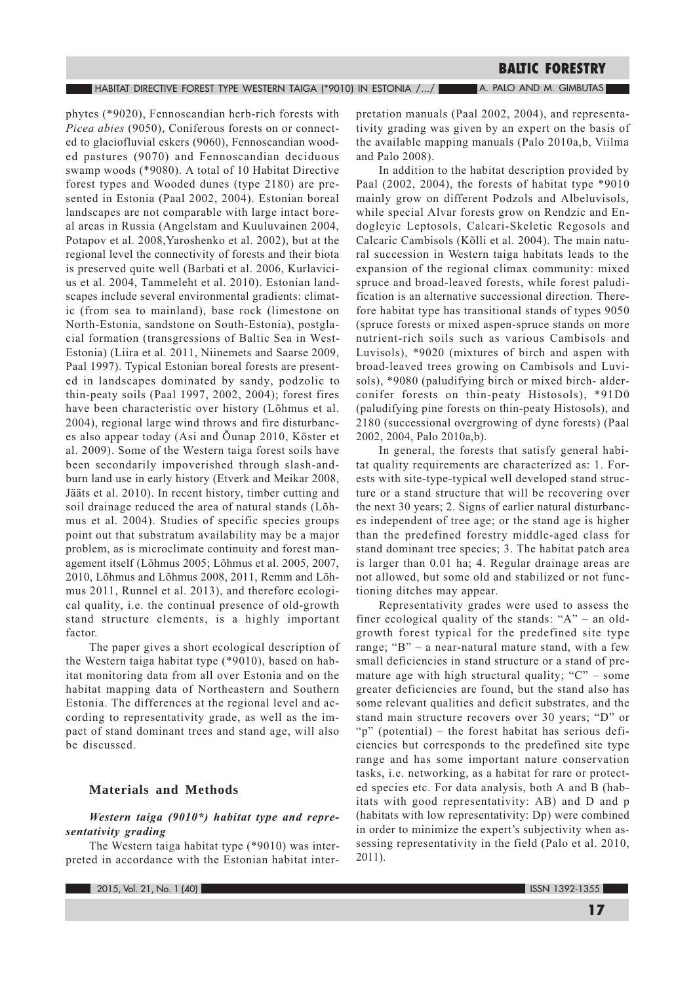phytes (\*9020), Fennoscandian herb-rich forests with Picea abies (9050), Coniferous forests on or connected to glaciofluvial eskers (9060), Fennoscandian wooded pastures (9070) and Fennoscandian deciduous swamp woods (\*9080). A total of 10 Habitat Directive forest types and Wooded dunes (type 2180) are presented in Estonia (Paal 2002, 2004). Estonian boreal landscapes are not comparable with large intact boreal areas in Russia (Angelstam and Kuuluvainen 2004, Potapov et al. 2008, Yaroshenko et al. 2002), but at the regional level the connectivity of forests and their biota is preserved quite well (Barbati et al. 2006, Kurlavicius et al. 2004, Tammeleht et al. 2010). Estonian landscapes include several environmental gradients: climatic (from sea to mainland), base rock (limestone on North-Estonia, sandstone on South-Estonia), postglacial formation (transgressions of Baltic Sea in West-Estonia) (Liira et al. 2011, Niinemets and Saarse 2009, Paal 1997). Typical Estonian boreal forests are presented in landscapes dominated by sandy, podzolic to thin-peaty soils (Paal 1997, 2002, 2004); forest fires have been characteristic over history (Lõhmus et al. 2004), regional large wind throws and fire disturbances also appear today (Asi and Õunap 2010, Köster et al. 2009). Some of the Western taiga forest soils have been secondarily impoverished through slash-andburn land use in early history (Etverk and Meikar 2008, Jääts et al. 2010). In recent history, timber cutting and soil drainage reduced the area of natural stands (Lõhmus et al. 2004). Studies of specific species groups point out that substratum availability may be a major problem, as is microclimate continuity and forest management itself (Lõhmus 2005; Lõhmus et al. 2005, 2007, 2010, Lõhmus and Lõhmus 2008, 2011, Remm and Lõhmus 2011, Runnel et al. 2013), and therefore ecological quality, i.e. the continual presence of old-growth stand structure elements, is a highly important factor.

The paper gives a short ecological description of the Western taiga habitat type (\*9010), based on habitat monitoring data from all over Estonia and on the habitat mapping data of Northeastern and Southern Estonia. The differences at the regional level and according to representativity grade, as well as the impact of stand dominant trees and stand age, will also be discussed.

# **Materials and Methods**

# Western taiga (9010\*) habitat type and representativity grading

The Western taiga habitat type (\*9010) was interpreted in accordance with the Estonian habitat inter-

2015, Vol. 21, No. 1 (40)

pretation manuals (Paal 2002, 2004), and representativity grading was given by an expert on the basis of the available mapping manuals (Palo 2010a,b, Viilma and Palo 2008).

In addition to the habitat description provided by Paal (2002, 2004), the forests of habitat type \*9010 mainly grow on different Podzols and Albeluvisols, while special Alvar forests grow on Rendzic and Endogleyic Leptosols, Calcari-Skeletic Regosols and Calcaric Cambisols (Kõlli et al. 2004). The main natural succession in Western taiga habitats leads to the expansion of the regional climax community: mixed spruce and broad-leaved forests, while forest paludification is an alternative successional direction. Therefore habitat type has transitional stands of types 9050 (spruce forests or mixed aspen-spruce stands on more nutrient-rich soils such as various Cambisols and Luvisols), \*9020 (mixtures of birch and aspen with broad-leaved trees growing on Cambisols and Luvisols), \*9080 (paludifying birch or mixed birch-alderconifer forests on thin-peaty Histosols), \*91D0 (paludifying pine forests on thin-peaty Histosols), and 2180 (successional overgrowing of dyne forests) (Paal 2002, 2004, Palo 2010a,b).

In general, the forests that satisfy general habitat quality requirements are characterized as: 1. Forests with site-type-typical well developed stand structure or a stand structure that will be recovering over the next 30 years; 2. Signs of earlier natural disturbances independent of tree age; or the stand age is higher than the predefined forestry middle-aged class for stand dominant tree species; 3. The habitat patch area is larger than 0.01 ha; 4. Regular drainage areas are not allowed, but some old and stabilized or not functioning ditches may appear.

Representativity grades were used to assess the finer ecological quality of the stands: "A" – an oldgrowth forest typical for the predefined site type range; "B"  $-$  a near-natural mature stand, with a few small deficiencies in stand structure or a stand of premature age with high structural quality; " $C$ " – some greater deficiencies are found, but the stand also has some relevant qualities and deficit substrates, and the stand main structure recovers over 30 years; "D" or "p" (potential) – the forest habitat has serious deficiencies but corresponds to the predefined site type range and has some important nature conservation tasks, i.e. networking, as a habitat for rare or protected species etc. For data analysis, both A and B (habitats with good representativity: AB) and D and p (habitats with low representativity: Dp) were combined in order to minimize the expert's subjectivity when assessing representativity in the field (Palo et al. 2010, 2011).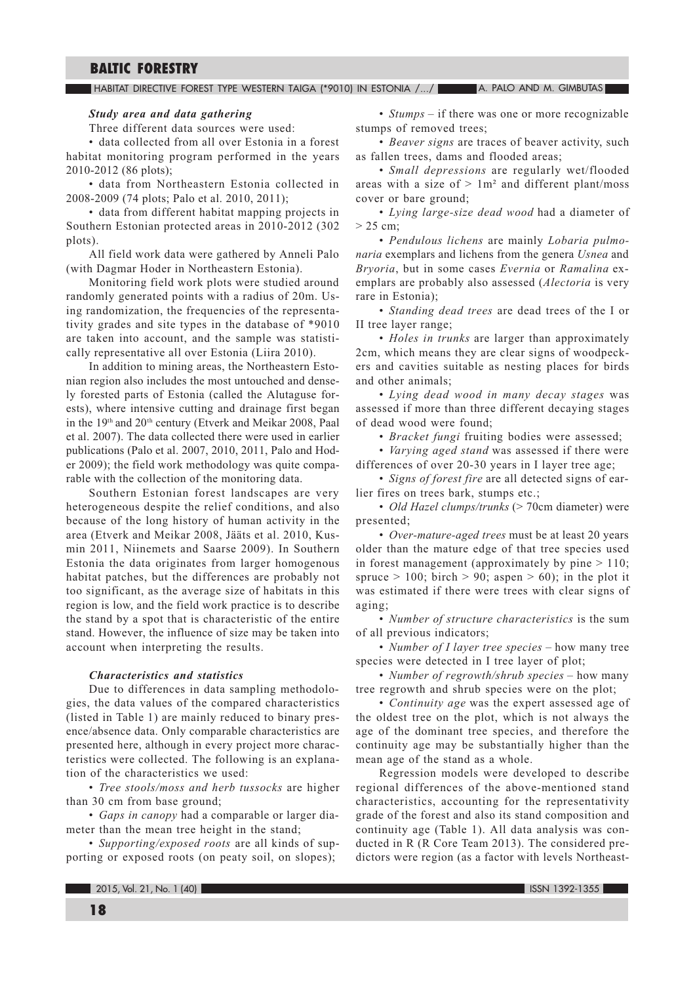#### HABITAT DIRECTIVE FOREST TYPE WESTERN TAIGA (\*9010) IN ESTONIA /.../ A. PALO AND M. GIMBUTAS

#### Study area and data gathering

Three different data sources were used:

· data collected from all over Estonia in a forest habitat monitoring program performed in the years 2010-2012 (86 plots);

· data from Northeastern Estonia collected in 2008-2009 (74 plots; Palo et al. 2010, 2011);

• data from different habitat mapping projects in Southern Estonian protected areas in 2010-2012 (302 plots).

All field work data were gathered by Anneli Palo (with Dagmar Hoder in Northeastern Estonia).

Monitoring field work plots were studied around randomly generated points with a radius of 20m. Using randomization, the frequencies of the representativity grades and site types in the database of \*9010 are taken into account, and the sample was statistically representative all over Estonia (Liira 2010).

In addition to mining areas, the Northeastern Estonian region also includes the most untouched and densely forested parts of Estonia (called the Alutaguse forests), where intensive cutting and drainage first began in the 19th and 20th century (Etverk and Meikar 2008, Paal et al. 2007). The data collected there were used in earlier publications (Palo et al. 2007, 2010, 2011, Palo and Hoder 2009); the field work methodology was quite comparable with the collection of the monitoring data.

Southern Estonian forest landscapes are very heterogeneous despite the relief conditions, and also because of the long history of human activity in the area (Etverk and Meikar 2008, Jääts et al. 2010, Kusmin 2011, Niinemets and Saarse 2009). In Southern Estonia the data originates from larger homogenous habitat patches, but the differences are probably not too significant, as the average size of habitats in this region is low, and the field work practice is to describe the stand by a spot that is characteristic of the entire stand. However, the influence of size may be taken into account when interpreting the results.

# **Characteristics and statistics**

Due to differences in data sampling methodologies, the data values of the compared characteristics (listed in Table 1) are mainly reduced to binary presence/absence data. Only comparable characteristics are presented here, although in every project more characteristics were collected. The following is an explanation of the characteristics we used:

• Tree stools/moss and herb tussocks are higher than 30 cm from base ground;

• Gaps in canopy had a comparable or larger diameter than the mean tree height in the stand;

• Supporting/exposed roots are all kinds of supporting or exposed roots (on peaty soil, on slopes);

•  $Stumps - if there was one or more recognizable$ stumps of removed trees;

• Beaver signs are traces of beaver activity, such as fallen trees, dams and flooded areas;

· Small depressions are regularly wet/flooded areas with a size of  $> 1m^2$  and different plant/moss cover or bare ground;

• Lying large-size dead wood had a diameter of  $> 25$  cm;

• Pendulous lichens are mainly Lobaria pulmonaria exemplars and lichens from the genera Usnea and Bryoria, but in some cases Evernia or Ramalina exemplars are probably also assessed (Alectoria is very rare in Estonia);

• Standing dead trees are dead trees of the I or II tree layer range;

• Holes in trunks are larger than approximately 2cm, which means they are clear signs of woodpeckers and cavities suitable as nesting places for birds and other animals:

• Lying dead wood in many decay stages was assessed if more than three different decaying stages of dead wood were found;

· Bracket fungi fruiting bodies were assessed;

• Varying aged stand was assessed if there were differences of over 20-30 years in I layer tree age;

· Signs of forest fire are all detected signs of earlier fires on trees bark, stumps etc.;

• Old Hazel clumps/trunks (> 70cm diameter) were presented:

• Over-mature-aged trees must be at least 20 years older than the mature edge of that tree species used in forest management (approximately by pine  $> 110$ ; spruce > 100; birch > 90; aspen > 60); in the plot it was estimated if there were trees with clear signs of aging;

• Number of structure characteristics is the sum of all previous indicators;

• Number of I layer tree species – how many tree species were detected in I tree layer of plot;

• Number of regrowth/shrub species  $-$  how many tree regrowth and shrub species were on the plot;

• Continuity age was the expert assessed age of the oldest tree on the plot, which is not always the age of the dominant tree species, and therefore the continuity age may be substantially higher than the mean age of the stand as a whole.

Regression models were developed to describe regional differences of the above-mentioned stand characteristics, accounting for the representativity grade of the forest and also its stand composition and continuity age (Table 1). All data analysis was conducted in R (R Core Team 2013). The considered predictors were region (as a factor with levels Northeast-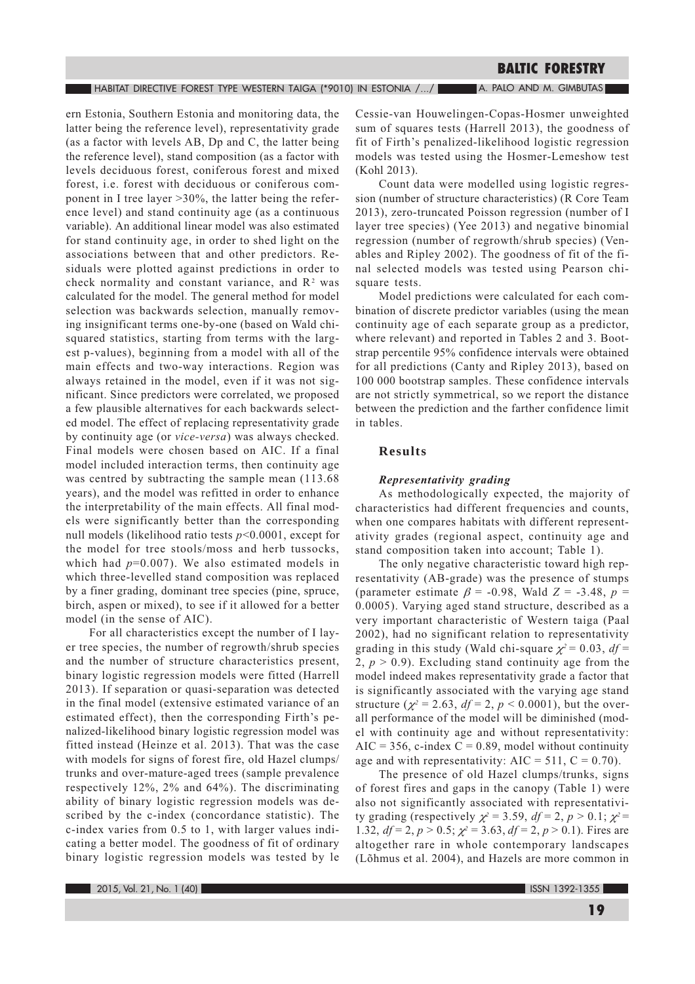$\blacksquare$  Habitat directive forest type western taiga (\*9010) in estonia /.../

A. PALO AND M. GIMBUTAS

ern Estonia, Southern Estonia and monitoring data, the latter being the reference level), representativity grade (as a factor with levels AB, Dp and C, the latter being the reference level), stand composition (as a factor with levels deciduous forest, coniferous forest and mixed forest, i.e. forest with deciduous or coniferous component in I tree layer > 30%, the latter being the reference level) and stand continuity age (as a continuous variable). An additional linear model was also estimated for stand continuity age, in order to shed light on the associations between that and other predictors. Residuals were plotted against predictions in order to check normality and constant variance, and R<sup>2</sup> was calculated for the model. The general method for model selection was backwards selection, manually removing insignificant terms one-by-one (based on Wald chisquared statistics, starting from terms with the largest p-values), beginning from a model with all of the main effects and two-way interactions. Region was always retained in the model, even if it was not significant. Since predictors were correlated, we proposed a few plausible alternatives for each backwards selected model. The effect of replacing representativity grade by continuity age (or vice-versa) was always checked. Final models were chosen based on AIC. If a final model included interaction terms, then continuity age was centred by subtracting the sample mean (113.68) years), and the model was refitted in order to enhance the interpretability of the main effects. All final models were significantly better than the corresponding null models (likelihood ratio tests  $p<0.0001$ , except for the model for tree stools/moss and herb tussocks, which had  $p=0.007$ ). We also estimated models in which three-levelled stand composition was replaced by a finer grading, dominant tree species (pine, spruce, birch, aspen or mixed), to see if it allowed for a better model (in the sense of AIC).

For all characteristics except the number of I layer tree species, the number of regrowth/shrub species and the number of structure characteristics present, binary logistic regression models were fitted (Harrell 2013). If separation or quasi-separation was detected in the final model (extensive estimated variance of an estimated effect), then the corresponding Firth's penalized-likelihood binary logistic regression model was fitted instead (Heinze et al. 2013). That was the case with models for signs of forest fire, old Hazel clumps/ trunks and over-mature-aged trees (sample prevalence respectively 12%, 2% and 64%). The discriminating ability of binary logistic regression models was described by the c-index (concordance statistic). The c-index varies from 0.5 to 1, with larger values indicating a better model. The goodness of fit of ordinary binary logistic regression models was tested by le Cessie-van Houwelingen-Copas-Hosmer unweighted sum of squares tests (Harrell 2013), the goodness of fit of Firth's penalized-likelihood logistic regression models was tested using the Hosmer-Lemeshow test (Kohl 2013).

Count data were modelled using logistic regression (number of structure characteristics) (R Core Team 2013), zero-truncated Poisson regression (number of I layer tree species) (Yee 2013) and negative binomial regression (number of regrowth/shrub species) (Venables and Ripley 2002). The goodness of fit of the final selected models was tested using Pearson chisquare tests.

Model predictions were calculated for each combination of discrete predictor variables (using the mean continuity age of each separate group as a predictor, where relevant) and reported in Tables 2 and 3. Bootstrap percentile 95% confidence intervals were obtained for all predictions (Canty and Ripley 2013), based on 100 000 bootstrap samples. These confidence intervals are not strictly symmetrical, so we report the distance between the prediction and the farther confidence limit in tables.

# **Results**

#### Representativity grading

As methodologically expected, the majority of characteristics had different frequencies and counts, when one compares habitats with different representativity grades (regional aspect, continuity age and stand composition taken into account; Table 1).

The only negative characteristic toward high representativity (AB-grade) was the presence of stumps (parameter estimate  $\beta$  = -0.98, Wald Z = -3.48, p = 0.0005). Varying aged stand structure, described as a very important characteristic of Western taiga (Paal 2002), had no significant relation to representativity grading in this study (Wald chi-square  $\chi^2 = 0.03$ ,  $df =$ 2,  $p > 0.9$ ). Excluding stand continuity age from the model indeed makes representativity grade a factor that is significantly associated with the varying age stand structure ( $\chi^2 = 2.63$ ,  $df = 2$ ,  $p < 0.0001$ ), but the overall performance of the model will be diminished (model with continuity age and without representativity: AIC = 356, c-index C = 0.89, model without continuity age and with representativity: AIC =  $511$ , C = 0.70).

The presence of old Hazel clumps/trunks, signs of forest fires and gaps in the canopy (Table 1) were also not significantly associated with representativity grading (respectively  $\chi^2 = 3.59$ ,  $df = 2$ ,  $p > 0.1$ ;  $\chi^2 =$ 1.32,  $df = 2$ ,  $p > 0.5$ ;  $\chi^2 = 3.63$ ,  $df = 2$ ,  $p > 0.1$ ). Fires are altogether rare in whole contemporary landscapes (Lõhmus et al. 2004), and Hazels are more common in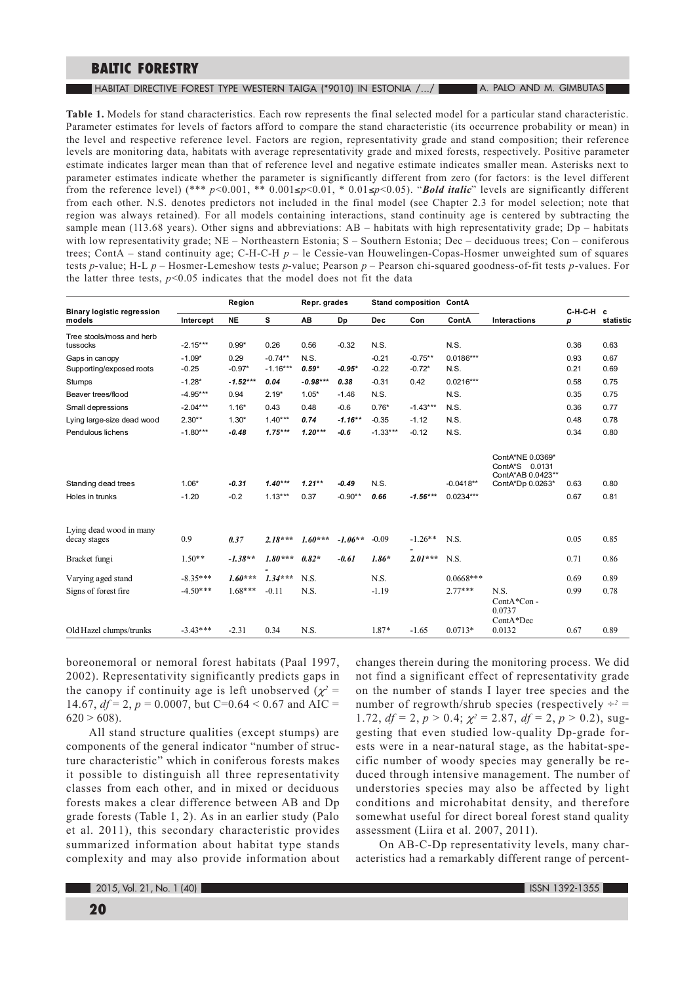**HABITAT DIRECTIVE FOREST TYPE WESTERN TAIGA (\*9010) IN ESTONIA /.../ A CALC AND M. GIMBUTAS** 

Table 1. Models for stand characteristics. Each row represents the final selected model for a particular stand characteristic. Parameter estimates for levels of factors afford to compare the stand characteristic (its occurrence probability or mean) in the level and respective reference level. Factors are region, representativity grade and stand composition; their reference levels are monitoring data, habitats with average representativity grade and mixed forests, respectively. Positive parameter estimate indicates larger mean than that of reference level and negative estimate indicates smaller mean. Asterisks next to parameter estimates indicate whether the parameter is significantly different from zero (for factors: is the level different from the reference level) (\*\*\* p<0.001, \*\* 0.001 \sps(-0.01, \* 0.01 \sps(-0.05). "Bold italic" levels are significantly different from each other. N.S. denotes predictors not included in the final model (see Chapter 2.3 for model selection; note that region was always retained). For all models containing interactions, stand continuity age is centered by subtracting the sample mean (113.68 years). Other signs and abbreviations:  $AB$  – habitats with high representativity grade;  $Dp$  – habitats with low representativity grade; NE - Northeastern Estonia; S - Southern Estonia; Dec - deciduous trees; Con - coniferous trees; ContA – stand continuity age; C-H-C-H  $p$  – le Cessie-van Houwelingen-Copas-Hosmer unweighted sum of squares tests p-value; H-L  $p$  – Hosmer-Lemeshow tests p-value; Pearson  $p$  – Pearson chi-squared goodness-of-fit tests p-values. For the latter three tests,  $p<0.05$  indicates that the model does not fit the data

| ContA<br><b>Interactions</b>              | р                                            | statistic                                              |
|-------------------------------------------|----------------------------------------------|--------------------------------------------------------|
|                                           |                                              |                                                        |
|                                           | 0.36                                         | 0.63                                                   |
| $0.0186***$                               | 0.93                                         | 0.67                                                   |
|                                           |                                              | 0.69                                                   |
| $0.0216***$                               | 0.58                                         | 0.75                                                   |
|                                           | 0.35                                         | 0.75                                                   |
|                                           | 0.36                                         | 0.77                                                   |
|                                           | 0.48                                         | 0.78                                                   |
|                                           | 0.34                                         | 0.80                                                   |
| ContA*NE 0.0369*<br>ContA*S 0.0131        |                                              |                                                        |
|                                           |                                              | 0.80                                                   |
| $0.0234***$                               | 0.67                                         | 0.81                                                   |
|                                           |                                              | 0.85                                                   |
|                                           |                                              |                                                        |
|                                           | 0.71                                         | 0.86                                                   |
| $0.0668***$                               | 0.69                                         | 0.89                                                   |
| $2.77***$<br>N.S.<br>ContA*Con-<br>0.0737 | 0.99                                         | 0.78                                                   |
| $0.0713*$<br>0.0132                       | 0.67                                         | 0.89                                                   |
|                                           | ContA*Dp 0.0263*<br>$-0.0418**$<br>ContA*Dec | C-H-C-H c<br>0.21<br>ContA*AB 0.0423**<br>0.63<br>0.05 |

boreonemoral or nemoral forest habitats (Paal 1997, 2002). Representativity significantly predicts gaps in the canopy if continuity age is left unobserved ( $\chi^2$  = 14.67,  $df = 2$ ,  $p = 0.0007$ , but C=0.64 < 0.67 and AIC =  $620 > 608$ ).

All stand structure qualities (except stumps) are components of the general indicator "number of structure characteristic" which in coniferous forests makes it possible to distinguish all three representativity classes from each other, and in mixed or deciduous forests makes a clear difference between AB and Dp grade forests (Table 1, 2). As in an earlier study (Palo et al. 2011), this secondary characteristic provides summarized information about habitat type stands complexity and may also provide information about changes therein during the monitoring process. We did not find a significant effect of representativity grade on the number of stands I layer tree species and the number of regrowth/shrub species (respectively  $\div^2$  = 1.72,  $df = 2$ ,  $p > 0.4$ ;  $\chi^2 = 2.87$ ,  $df = 2$ ,  $p > 0.2$ ), suggesting that even studied low-quality Dp-grade forests were in a near-natural stage, as the habitat-specific number of woody species may generally be reduced through intensive management. The number of understories species may also be affected by light conditions and microhabitat density, and therefore somewhat useful for direct boreal forest stand quality assessment (Liira et al. 2007, 2011).

On AB-C-Dp representativity levels, many characteristics had a remarkably different range of percent-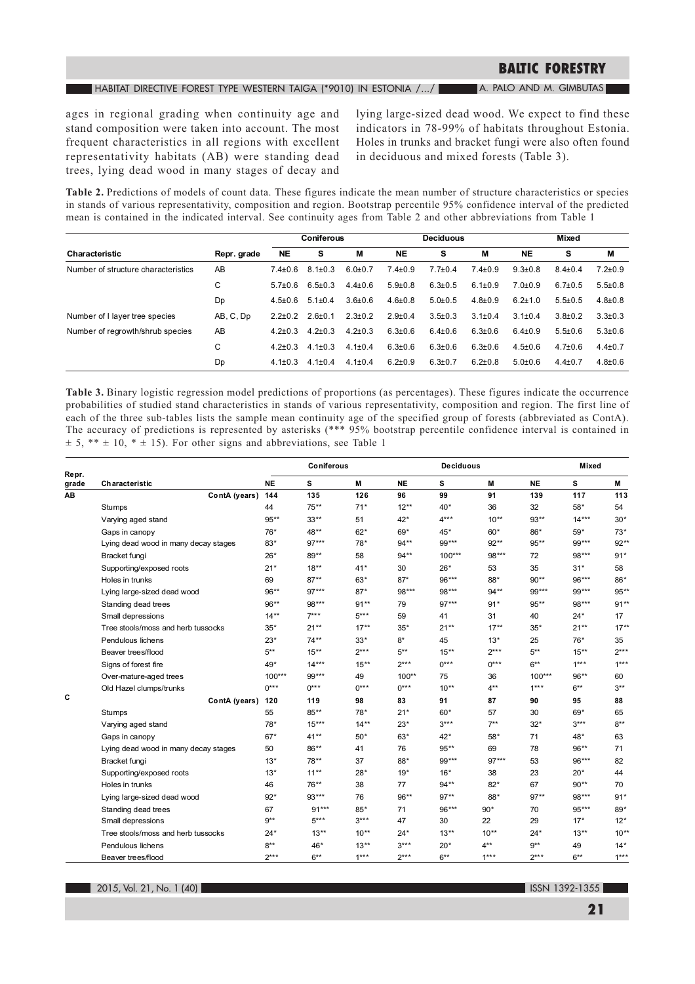#### HABITAT DIRECTIVE FOREST TYPE WESTERN TAIGA (\*9010) IN ESTONIA /.../ A. PALO AND M. GIMBUTAS

ages in regional grading when continuity age and stand composition were taken into account. The most frequent characteristics in all regions with excellent representativity habitats (AB) were standing dead trees, lying dead wood in many stages of decay and

lying large-sized dead wood. We expect to find these indicators in 78-99% of habitats throughout Estonia. Holes in trunks and bracket fungi were also often found in deciduous and mixed forests (Table 3).

Table 2. Predictions of models of count data. These figures indicate the mean number of structure characteristics or species in stands of various representativity, composition and region. Bootstrap percentile 95% confidence interval of the predicted mean is contained in the indicated interval. See continuity ages from Table 2 and other abbreviations from Table 1

|                                     | Repr. grade | <b>Coniferous</b> |               |               | <b>Deciduous</b> |               |               | Mixed         |               |               |
|-------------------------------------|-------------|-------------------|---------------|---------------|------------------|---------------|---------------|---------------|---------------|---------------|
| Characteristic                      |             | <b>NE</b>         | s             | м             | <b>NE</b>        | s             | М             | <b>NE</b>     | s             | Μ             |
| Number of structure characteristics | AB          | $7.4 \pm 0.6$     | $8.1 \pm 0.3$ | $6.0 \pm 0.7$ | $7.4 \pm 0.9$    | $7.7 \pm 0.4$ | $7.4 \pm 0.9$ | $9.3 \pm 0.8$ | $8.4 \pm 0.4$ | $7.2 \pm 0.9$ |
|                                     | С           | $5.7 \pm 0.6$     | $6.5 \pm 0.3$ | $4.4 \pm 0.6$ | $5.9 \pm 0.8$    | $6.3 \pm 0.5$ | $6.1 \pm 0.9$ | $7.0 \pm 0.9$ | $6.7 \pm 0.5$ | $5.5 \pm 0.8$ |
|                                     | Dp          | $4.5 \pm 0.6$     | $5.1 \pm 0.4$ | $3.6 \pm 0.6$ | $4.6 \pm 0.8$    | $5.0 \pm 0.5$ | $4.8 \pm 0.9$ | $6.2 \pm 1.0$ | $5.5 \pm 0.5$ | $4.8 \pm 0.8$ |
| Number of I layer tree species      | AB, C, Dp   | $2.2 \pm 0.2$     | $2.6 \pm 0.1$ | $2.3 \pm 0.2$ | $2.9 \pm 0.4$    | $3.5 \pm 0.3$ | $3.1 \pm 0.4$ | $3.1 \pm 0.4$ | $3.8 \pm 0.2$ | $3.3 \pm 0.3$ |
| Number of regrowth/shrub species    | AB          | $4.2 + 0.3$       | $4.2 \pm 0.3$ | $4.2 \pm 0.3$ | $6.3 \pm 0.6$    | $6.4 \pm 0.6$ | $6.3 \pm 0.6$ | $6.4 \pm 0.9$ | $5.5 \pm 0.6$ | $5.3 \pm 0.6$ |
|                                     | С           | $4.2 + 0.3$       | $4.1 \pm 0.3$ | $4.1 \pm 0.4$ | $6.3 \pm 0.6$    | $6.3 \pm 0.6$ | $6.3 \pm 0.6$ | $4.5 \pm 0.6$ | $4.7 \pm 0.6$ | $4.4 \pm 0.7$ |
|                                     | Dp          | $4.1 \pm 0.3$     | $4.1 \pm 0.4$ | $4.1 \pm 0.4$ | $6.2 \pm 0.9$    | $6.3 \pm 0.7$ | $6.2 \pm 0.8$ | $5.0 \pm 0.6$ | $4.4 \pm 0.7$ | $4.8 \pm 0.6$ |

Table 3. Binary logistic regression model predictions of proportions (as percentages). These figures indicate the occurrence probabilities of studied stand characteristics in stands of various representativity, composition and region. The first line of each of the three sub-tables lists the sample mean continuity age of the specified group of forests (abbreviated as ContA). The accuracy of predictions is represented by asterisks (\*\*\* 95% bootstrap percentile confidence interval is contained in  $\pm$  5, \*\*  $\pm$  10, \*  $\pm$  15). For other signs and abbreviations, see Table 1

|                |                                      | Coniferous |         |         |           | <b>Deciduous</b> | Mixed   |           |         |         |
|----------------|--------------------------------------|------------|---------|---------|-----------|------------------|---------|-----------|---------|---------|
| Repr.<br>grade | Characteristic                       | <b>NE</b>  | S       | M       | <b>NE</b> | s                | M       | <b>NE</b> | S       | M       |
| AΒ             | ContA (years)                        | 144        | 135     | 126     | 96        | 99               | 91      | 139       | 117     | 113     |
|                | Stumps                               | 44         | $75***$ | $71*$   | $12***$   | 40*              | 36      | 32        | 58*     | 54      |
|                | Varying aged stand                   | $95**$     | $33**$  | 51      | $42*$     | $4***$           | $10**$  | $93**$    | $14***$ | $30*$   |
|                | Gaps in canopy                       | $76*$      | 48**    | $62*$   | $69*$     | 45*              | $60*$   | 86*       | $59*$   | $73*$   |
|                | Lying dead wood in many decay stages | $83*$      | $97***$ | 78*     | $94**$    | $99***$          | $92**$  | $95***$   | 99***   | $92**$  |
|                | Bracket fungi                        | $26*$      | 89**    | 58      | 94**      | $100***$         | 98***   | 72        | 98***   | $91*$   |
|                | Supporting/exposed roots             | $21*$      | $18**$  | $41*$   | 30        | $26*$            | 53      | 35        | $31*$   | 58      |
|                | Holes in trunks                      | 69         | $87**$  | $63*$   | $87*$     | $96***$          | $88*$   | $90**$    | 96***   | 86*     |
|                | Lying large-sized dead wood          | $96**$     | $97***$ | $87*$   | 98***     | 98***            | 94**    | 99***     | 99***   | $95***$ |
|                | Standing dead trees                  | $96**$     | 98***   | $91**$  | 79        | $97***$          | $91*$   | $95***$   | 98***   | $91**$  |
|                | Small depressions                    | $14**$     | $7***$  | $5***$  | 59        | 41               | 31      | 40        | $24*$   | 17      |
|                | Tree stools/moss and herb tussocks   | $35*$      | $21**$  | $17***$ | $35*$     | $21**$           | $17***$ | $35*$     | $21**$  | $17***$ |
|                | Pendulous lichens                    | $23*$      | $74**$  | $33*$   | $8*$      | 45               | $13*$   | 25        | $76*$   | 35      |
|                | Beaver trees/flood                   | $5***$     | $15***$ | $2***$  | $5***$    | $15***$          | $2***$  | $5***$    | $15***$ | $2***$  |
|                | Signs of forest fire                 | 49*        | $14***$ | $15***$ | $2***$    | $0***$           | $0***$  | $6***$    | $1***$  | $1***$  |
|                | Over-mature-aged trees               | $100***$   | 99***   | 49      | $100**$   | 75               | 36      | $100***$  | 96**    | 60      |
|                | Old Hazel clumps/trunks              | $0***$     | $0***$  | $0***$  | $0***$    | $10**$           | $4***$  | $1***$    | $6***$  | $3***$  |
| c              | ContA (years)                        | 120        | 119     | 98      | 83        | 91               | 87      | 90        | 95      | 88      |
|                | Stumps                               | 55         | 85**    | 78*     | $21*$     | $60*$            | 57      | 30        | 69*     | 65      |
|                | Varying aged stand                   | 78*        | $15***$ | $14**$  | $23*$     | $3***$           | $7***$  | $32*$     | $3***$  | $8***$  |
|                | Gaps in canopy                       | $67*$      | $41**$  | $50*$   | $63*$     | $42*$            | $58*$   | 71        | 48*     | 63      |
|                | Lying dead wood in many decay stages | 50         | 86**    | 41      | 76        | $95**$           | 69      | 78        | 96**    | 71      |
|                | Bracket fungi                        | $13*$      | 78**    | 37      | 88*       | 99***            | $97***$ | 53        | 96***   | 82      |
|                | Supporting/exposed roots             | $13*$      | $11**$  | $28*$   | $19*$     | $16*$            | 38      | 23        | $20*$   | 44      |
|                | Holes in trunks                      | 46         | 76**    | 38      | 77        | $94**$           | $82*$   | 67        | $90**$  | 70      |
|                | Lying large-sized dead wood          | $92*$      | $93***$ | 76      | 96**      | $97**$           | 88*     | $97**$    | 98***   | $91*$   |
|                | Standing dead trees                  | 67         | $91***$ | 85*     | 71        | $96***$          | $90*$   | 70        | $95***$ | 89*     |
|                | Small depressions                    | $9***$     | $5***$  | $3***$  | 47        | 30               | 22      | 29        | $17*$   | $12*$   |
|                | Tree stools/moss and herb tussocks   | 24*        | $13**$  | $10***$ | $24*$     | $13**$           | $10**$  | $24*$     | $13**$  | $10**$  |
|                | Pendulous lichens                    | $8***$     | 46*     | $13**$  | $3***$    | $20*$            | $4**$   | $9***$    | 49      | $14*$   |
|                | Beaver trees/flood                   | $2***$     | ճ**     | $1***$  | $2***$    | $6***$           | $1***$  | $2***$    | $6***$  | $1***$  |

2015, Vol. 21, No. 1 (40)

**SEA 1392-1355**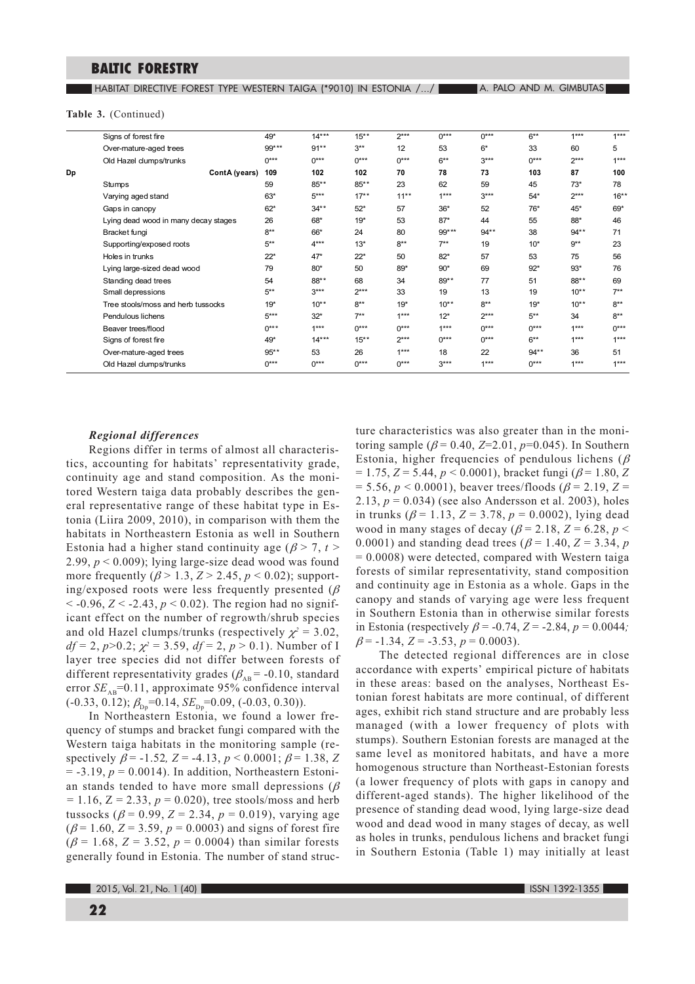**HABITAT DIRECTIVE FOREST TYPE WESTERN TAIGA (\*9010) IN ESTONIA /.../ A TALO AND M. GIMBUTAS** 

#### Table 3. (Continued)

| $14***$<br>$6***$<br>$1***$<br>49*<br>$15***$<br>$2***$<br>$0***$<br>$0***$<br>Signs of forest fire<br>99***<br>$91**$<br>$3***$<br>12<br>$6*$<br>33<br>5<br>Over-mature-aged trees<br>53<br>60<br>$2***$<br>$0***$<br>$0***$<br>$0***$<br>$0***$<br>$6***$<br>$3***$<br>$0***$<br>Old Hazel clumps/trunks<br>102<br>70<br>78<br>73<br>103<br>87<br>ContA (years)<br>102<br>Dp<br>109<br>$85***$<br>23<br>59<br>45<br>$73*$<br>85**<br>62<br>78<br>59<br>Stumps<br>$5***$<br>$11**$<br>$1***$<br>$2***$<br>$63*$<br>$17**$<br>$3***$<br>$54*$<br>Varying aged stand<br>$62*$<br>$52*$<br>57<br>52<br>$76*$<br>$45*$<br>69*<br>$34***$<br>$36*$<br>Gaps in canopy<br>53<br>$87*$<br>55<br>Lying dead wood in many decay stages<br>68*<br>$19*$<br>44<br>88*<br>46<br>26<br>$8***$<br>66*<br>99***<br>$94**$<br>38<br>$94**$<br>24<br>80<br>71<br>Bracket fungi<br>$4***$<br>$9**$<br>$5***$<br>$13*$<br>$8***$<br>$7**$<br>$10*$<br>Supporting/exposed roots<br>19<br>23<br>$47*$<br>50<br>$82*$<br>57<br>53<br>Holes in trunks<br>$22*$<br>$22*$<br>75<br>56<br>$93*$<br>76<br>79<br>$80*$<br>50<br>89*<br>$90*$<br>69<br>$92*$<br>Lying large-sized dead wood<br>54<br>88**<br>68<br>34<br>77<br>$88**$<br>Standing dead trees<br>89**<br>51<br>69<br>$7***$<br>$5***$<br>$3***$<br>$2***$<br>13<br>19<br>$10^{**}$<br>33<br>19<br>Small depressions<br>$8***$<br>$10**$<br>$8***$<br>$10**$<br>$8***$<br>Tree stools/moss and herb tussocks<br>$19*$<br>$10^{**}$<br>$19*$<br>$19*$<br>$8***$<br>Pendulous lichens<br>$5***$<br>$32*$<br>$7**$<br>$1***$<br>$12*$<br>$2***$<br>$5***$<br>34<br>$1***$<br>$1***$<br>$1***$<br>$0***$<br>$0***$<br>$0***$<br>$0***$<br>$0***$<br>Beaver trees/flood<br>$0***$<br>$0***$<br>$6***$<br>$1***$<br>Signs of forest fire<br>49*<br>$14***$<br>$15***$<br>$2***$<br>$95***$<br>53<br>26<br>$1***$<br>22<br>36<br>Over-mature-aged trees<br>18<br>$94**$<br>51<br>$0***$<br>$0***$<br>$0***$<br>$0***$<br>$3***$<br>$1***$<br>$0***$<br>$1***$<br>Old Hazel clumps/trunks |  |  |  |  |  |         |
|--------------------------------------------------------------------------------------------------------------------------------------------------------------------------------------------------------------------------------------------------------------------------------------------------------------------------------------------------------------------------------------------------------------------------------------------------------------------------------------------------------------------------------------------------------------------------------------------------------------------------------------------------------------------------------------------------------------------------------------------------------------------------------------------------------------------------------------------------------------------------------------------------------------------------------------------------------------------------------------------------------------------------------------------------------------------------------------------------------------------------------------------------------------------------------------------------------------------------------------------------------------------------------------------------------------------------------------------------------------------------------------------------------------------------------------------------------------------------------------------------------------------------------------------------------------------------------------------------------------------------------------------------------------------------------------------------------------------------------------------------------------------------------------------------------------------------------------------------------------------------------------------------------------------------------------------------------------------------------------------------------------------|--|--|--|--|--|---------|
|                                                                                                                                                                                                                                                                                                                                                                                                                                                                                                                                                                                                                                                                                                                                                                                                                                                                                                                                                                                                                                                                                                                                                                                                                                                                                                                                                                                                                                                                                                                                                                                                                                                                                                                                                                                                                                                                                                                                                                                                                    |  |  |  |  |  | $1***$  |
|                                                                                                                                                                                                                                                                                                                                                                                                                                                                                                                                                                                                                                                                                                                                                                                                                                                                                                                                                                                                                                                                                                                                                                                                                                                                                                                                                                                                                                                                                                                                                                                                                                                                                                                                                                                                                                                                                                                                                                                                                    |  |  |  |  |  |         |
|                                                                                                                                                                                                                                                                                                                                                                                                                                                                                                                                                                                                                                                                                                                                                                                                                                                                                                                                                                                                                                                                                                                                                                                                                                                                                                                                                                                                                                                                                                                                                                                                                                                                                                                                                                                                                                                                                                                                                                                                                    |  |  |  |  |  | $1***$  |
|                                                                                                                                                                                                                                                                                                                                                                                                                                                                                                                                                                                                                                                                                                                                                                                                                                                                                                                                                                                                                                                                                                                                                                                                                                                                                                                                                                                                                                                                                                                                                                                                                                                                                                                                                                                                                                                                                                                                                                                                                    |  |  |  |  |  | 100     |
|                                                                                                                                                                                                                                                                                                                                                                                                                                                                                                                                                                                                                                                                                                                                                                                                                                                                                                                                                                                                                                                                                                                                                                                                                                                                                                                                                                                                                                                                                                                                                                                                                                                                                                                                                                                                                                                                                                                                                                                                                    |  |  |  |  |  |         |
|                                                                                                                                                                                                                                                                                                                                                                                                                                                                                                                                                                                                                                                                                                                                                                                                                                                                                                                                                                                                                                                                                                                                                                                                                                                                                                                                                                                                                                                                                                                                                                                                                                                                                                                                                                                                                                                                                                                                                                                                                    |  |  |  |  |  | $16***$ |
|                                                                                                                                                                                                                                                                                                                                                                                                                                                                                                                                                                                                                                                                                                                                                                                                                                                                                                                                                                                                                                                                                                                                                                                                                                                                                                                                                                                                                                                                                                                                                                                                                                                                                                                                                                                                                                                                                                                                                                                                                    |  |  |  |  |  |         |
|                                                                                                                                                                                                                                                                                                                                                                                                                                                                                                                                                                                                                                                                                                                                                                                                                                                                                                                                                                                                                                                                                                                                                                                                                                                                                                                                                                                                                                                                                                                                                                                                                                                                                                                                                                                                                                                                                                                                                                                                                    |  |  |  |  |  |         |
|                                                                                                                                                                                                                                                                                                                                                                                                                                                                                                                                                                                                                                                                                                                                                                                                                                                                                                                                                                                                                                                                                                                                                                                                                                                                                                                                                                                                                                                                                                                                                                                                                                                                                                                                                                                                                                                                                                                                                                                                                    |  |  |  |  |  |         |
|                                                                                                                                                                                                                                                                                                                                                                                                                                                                                                                                                                                                                                                                                                                                                                                                                                                                                                                                                                                                                                                                                                                                                                                                                                                                                                                                                                                                                                                                                                                                                                                                                                                                                                                                                                                                                                                                                                                                                                                                                    |  |  |  |  |  |         |
|                                                                                                                                                                                                                                                                                                                                                                                                                                                                                                                                                                                                                                                                                                                                                                                                                                                                                                                                                                                                                                                                                                                                                                                                                                                                                                                                                                                                                                                                                                                                                                                                                                                                                                                                                                                                                                                                                                                                                                                                                    |  |  |  |  |  |         |
|                                                                                                                                                                                                                                                                                                                                                                                                                                                                                                                                                                                                                                                                                                                                                                                                                                                                                                                                                                                                                                                                                                                                                                                                                                                                                                                                                                                                                                                                                                                                                                                                                                                                                                                                                                                                                                                                                                                                                                                                                    |  |  |  |  |  |         |
|                                                                                                                                                                                                                                                                                                                                                                                                                                                                                                                                                                                                                                                                                                                                                                                                                                                                                                                                                                                                                                                                                                                                                                                                                                                                                                                                                                                                                                                                                                                                                                                                                                                                                                                                                                                                                                                                                                                                                                                                                    |  |  |  |  |  |         |
|                                                                                                                                                                                                                                                                                                                                                                                                                                                                                                                                                                                                                                                                                                                                                                                                                                                                                                                                                                                                                                                                                                                                                                                                                                                                                                                                                                                                                                                                                                                                                                                                                                                                                                                                                                                                                                                                                                                                                                                                                    |  |  |  |  |  |         |
|                                                                                                                                                                                                                                                                                                                                                                                                                                                                                                                                                                                                                                                                                                                                                                                                                                                                                                                                                                                                                                                                                                                                                                                                                                                                                                                                                                                                                                                                                                                                                                                                                                                                                                                                                                                                                                                                                                                                                                                                                    |  |  |  |  |  |         |
|                                                                                                                                                                                                                                                                                                                                                                                                                                                                                                                                                                                                                                                                                                                                                                                                                                                                                                                                                                                                                                                                                                                                                                                                                                                                                                                                                                                                                                                                                                                                                                                                                                                                                                                                                                                                                                                                                                                                                                                                                    |  |  |  |  |  |         |
|                                                                                                                                                                                                                                                                                                                                                                                                                                                                                                                                                                                                                                                                                                                                                                                                                                                                                                                                                                                                                                                                                                                                                                                                                                                                                                                                                                                                                                                                                                                                                                                                                                                                                                                                                                                                                                                                                                                                                                                                                    |  |  |  |  |  | $0***$  |
|                                                                                                                                                                                                                                                                                                                                                                                                                                                                                                                                                                                                                                                                                                                                                                                                                                                                                                                                                                                                                                                                                                                                                                                                                                                                                                                                                                                                                                                                                                                                                                                                                                                                                                                                                                                                                                                                                                                                                                                                                    |  |  |  |  |  | $1***$  |
|                                                                                                                                                                                                                                                                                                                                                                                                                                                                                                                                                                                                                                                                                                                                                                                                                                                                                                                                                                                                                                                                                                                                                                                                                                                                                                                                                                                                                                                                                                                                                                                                                                                                                                                                                                                                                                                                                                                                                                                                                    |  |  |  |  |  |         |
|                                                                                                                                                                                                                                                                                                                                                                                                                                                                                                                                                                                                                                                                                                                                                                                                                                                                                                                                                                                                                                                                                                                                                                                                                                                                                                                                                                                                                                                                                                                                                                                                                                                                                                                                                                                                                                                                                                                                                                                                                    |  |  |  |  |  | $1***$  |

#### **Regional differences**

Regions differ in terms of almost all characteristics, accounting for habitats' representativity grade, continuity age and stand composition. As the monitored Western taiga data probably describes the general representative range of these habitat type in Estonia (Liira 2009, 2010), in comparison with them the habitats in Northeastern Estonia as well in Southern Estonia had a higher stand continuity age ( $\beta$  > 7, t > 2.99,  $p < 0.009$ ); lying large-size dead wood was found more frequently ( $\beta$  > 1.3, Z > 2.45, p < 0.02); supporting/exposed roots were less frequently presented ( $\beta$ ) < -0.96,  $Z <$  -2.43,  $p < 0.02$ ). The region had no significant effect on the number of regrowth/shrub species and old Hazel clumps/trunks (respectively  $\chi^2 = 3.02$ ,  $df = 2$ ,  $p > 0.2$ ;  $\chi^2 = 3.59$ ,  $df = 2$ ,  $p > 0.1$ ). Number of I layer tree species did not differ between forests of different representativity grades ( $\beta_{AB}$  = -0.10, standard error  $SE_{AB}$ =0.11, approximate 95% confidence interval  $(-0.33, 0.12); \beta_{\text{Dp}} = 0.14, SE_{\text{Dp}} = 0.09, (-0.03, 0.30)).$ 

In Northeastern Estonia, we found a lower frequency of stumps and bracket fungi compared with the Western taiga habitats in the monitoring sample (respectively  $\beta$  = -1.52, Z = -4.13,  $p < 0.0001$ ;  $\beta$  = 1.38, Z  $= -3.19$ ,  $p = 0.0014$ ). In addition, Northeastern Estonian stands tended to have more small depressions ( $\beta$  $= 1.16$ ,  $Z = 2.33$ ,  $p = 0.020$ ), tree stools/moss and herb tussocks ( $\beta$  = 0.99, Z = 2.34, p = 0.019), varying age  $(\beta = 1.60, Z = 3.59, p = 0.0003)$  and signs of forest fire  $(\beta = 1.68, Z = 3.52, p = 0.0004)$  than similar forests generally found in Estonia. The number of stand structure characteristics was also greater than in the monitoring sample ( $\beta$  = 0.40, Z=2.01, p=0.045). In Southern Estonia, higher frequencies of pendulous lichens ( $\beta$  $= 1.75, Z = 5.44, p < 0.0001$ , bracket fungi ( $\beta = 1.80, Z$  $= 5.56, p < 0.0001$ , beaver trees/floods ( $\beta = 2.19, Z =$ 2.13,  $p = 0.034$ ) (see also Andersson et al. 2003), holes in trunks ( $\beta$  = 1.13, Z = 3.78, p = 0.0002), lying dead wood in many stages of decay ( $\beta$  = 2.18, Z = 6.28, p < 0.0001) and standing dead trees ( $\beta$  = 1.40, Z = 3.34, p  $= 0.0008$ ) were detected, compared with Western taiga forests of similar representativity, stand composition and continuity age in Estonia as a whole. Gaps in the canopy and stands of varying age were less frequent in Southern Estonia than in otherwise similar forests in Estonia (respectively  $\beta$  = -0.74, Z = -2.84, p = 0.0044;  $\beta$  = -1.34, Z = -3.53, p = 0.0003).

The detected regional differences are in close accordance with experts' empirical picture of habitats in these areas: based on the analyses, Northeast Estonian forest habitats are more continual, of different ages, exhibit rich stand structure and are probably less managed (with a lower frequency of plots with stumps). Southern Estonian forests are managed at the same level as monitored habitats, and have a more homogenous structure than Northeast-Estonian forests (a lower frequency of plots with gaps in canopy and different-aged stands). The higher likelihood of the presence of standing dead wood, lying large-size dead wood and dead wood in many stages of decay, as well as holes in trunks, pendulous lichens and bracket fungi in Southern Estonia (Table 1) may initially at least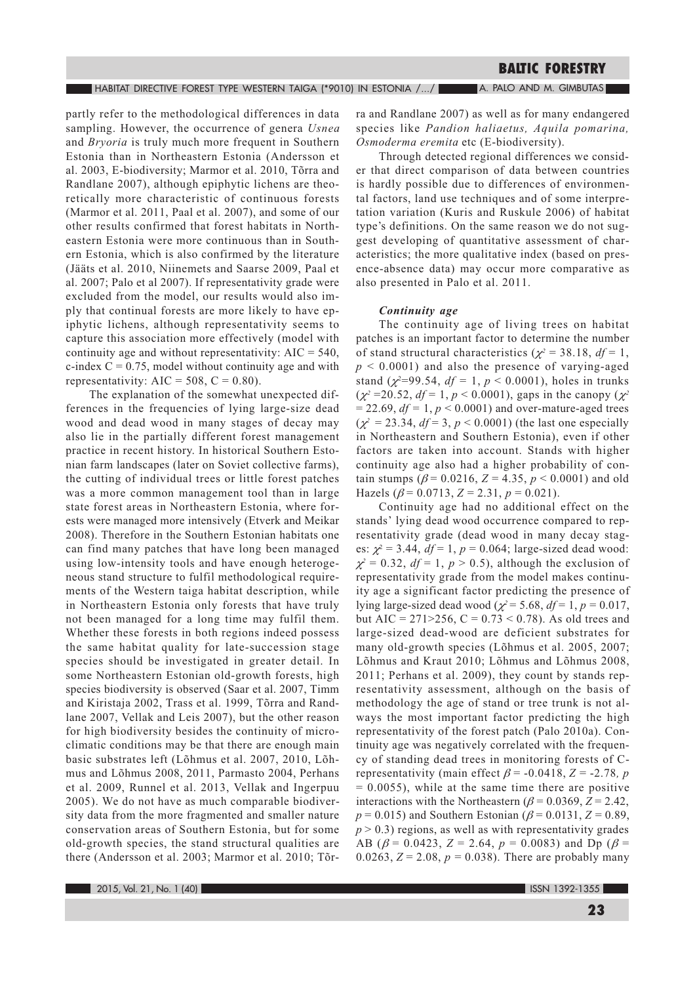partly refer to the methodological differences in data sampling. However, the occurrence of genera Usnea and *Bryoria* is truly much more frequent in Southern Estonia than in Northeastern Estonia (Andersson et al. 2003, E-biodiversity; Marmor et al. 2010, Tõrra and Randlane 2007), although epiphytic lichens are theoretically more characteristic of continuous forests (Marmor et al. 2011, Paal et al. 2007), and some of our other results confirmed that forest habitats in Northeastern Estonia were more continuous than in Southern Estonia, which is also confirmed by the literature (Jääts et al. 2010, Niinemets and Saarse 2009, Paal et al. 2007; Palo et al 2007). If representativity grade were excluded from the model, our results would also imply that continual forests are more likely to have epiphytic lichens, although representativity seems to capture this association more effectively (model with continuity age and without representativity:  $AIC = 540$ , c-index  $C = 0.75$ , model without continuity age and with representativity:  $AIC = 508$ ,  $C = 0.80$ ).

The explanation of the somewhat unexpected differences in the frequencies of lying large-size dead wood and dead wood in many stages of decay may also lie in the partially different forest management practice in recent history. In historical Southern Estonian farm landscapes (later on Soviet collective farms), the cutting of individual trees or little forest patches was a more common management tool than in large state forest areas in Northeastern Estonia, where forests were managed more intensively (Etverk and Meikar 2008). Therefore in the Southern Estonian habitats one can find many patches that have long been managed using low-intensity tools and have enough heterogeneous stand structure to fulfil methodological requirements of the Western taiga habitat description, while in Northeastern Estonia only forests that have truly not been managed for a long time may fulfil them. Whether these forests in both regions indeed possess the same habitat quality for late-succession stage species should be investigated in greater detail. In some Northeastern Estonian old-growth forests, high species biodiversity is observed (Saar et al. 2007, Timm and Kiristaja 2002, Trass et al. 1999, Tõrra and Randlane 2007, Vellak and Leis 2007), but the other reason for high biodiversity besides the continuity of microclimatic conditions may be that there are enough main basic substrates left (Lõhmus et al. 2007, 2010, Lõhmus and Lõhmus 2008, 2011, Parmasto 2004, Perhans et al. 2009, Runnel et al. 2013, Vellak and Ingerpuu 2005). We do not have as much comparable biodiversity data from the more fragmented and smaller nature conservation areas of Southern Estonia, but for some old-growth species, the stand structural qualities are there (Andersson et al. 2003; Marmor et al. 2010; Tõrra and Randlane 2007) as well as for many endangered species like Pandion haliaetus, Aquila pomarina, Osmoderma eremita etc (E-biodiversity).

Through detected regional differences we consider that direct comparison of data between countries is hardly possible due to differences of environmental factors, land use techniques and of some interpretation variation (Kuris and Ruskule 2006) of habitat type's definitions. On the same reason we do not suggest developing of quantitative assessment of characteristics; the more qualitative index (based on presence-absence data) may occur more comparative as also presented in Palo et al. 2011.

#### Continuity age

The continuity age of living trees on habitat patches is an important factor to determine the number of stand structural characteristics ( $\chi^2$  = 38.18,  $df = 1$ ,  $p \leq 0.0001$ ) and also the presence of varying-aged stand ( $\chi^2$ =99.54,  $df = 1$ ,  $p < 0.0001$ ), holes in trunks  $(\chi^2 = 20.52, df = 1, p < 0.0001)$ , gaps in the canopy  $(\chi^2$  $= 22.69$ ,  $df = 1$ ,  $p < 0.0001$ ) and over-mature-aged trees  $(\chi^2 = 23.34, df = 3, p < 0.0001)$  (the last one especially in Northeastern and Southern Estonia), even if other factors are taken into account. Stands with higher continuity age also had a higher probability of contain stumps ( $\beta$  = 0.0216, Z = 4.35, p < 0.0001) and old Hazels ( $\beta$  = 0.0713, Z = 2.31, p = 0.021).

Continuity age had no additional effect on the stands' lying dead wood occurrence compared to representativity grade (dead wood in many decay stages:  $\chi^2$  = 3.44,  $df$  = 1,  $p$  = 0.064; large-sized dead wood:  $\chi^2 = 0.32$ ,  $df = 1$ ,  $p > 0.5$ ), although the exclusion of representativity grade from the model makes continuity age a significant factor predicting the presence of lying large-sized dead wood ( $\chi^2$  = 5.68, df = 1, p = 0.017, but AIC = 271>256, C = 0.73 < 0.78). As old trees and large-sized dead-wood are deficient substrates for many old-growth species (Lõhmus et al. 2005, 2007; Lõhmus and Kraut 2010; Lõhmus and Lõhmus 2008, 2011; Perhans et al. 2009), they count by stands representativity assessment, although on the basis of methodology the age of stand or tree trunk is not always the most important factor predicting the high representativity of the forest patch (Palo 2010a). Continuity age was negatively correlated with the frequency of standing dead trees in monitoring forests of Crepresentativity (main effect  $\beta$  = -0.0418, Z = -2.78, p  $= 0.0055$ , while at the same time there are positive interactions with the Northeastern ( $\beta$  = 0.0369, Z = 2.42,  $p = 0.015$ ) and Southern Estonian ( $\beta = 0.0131$ ,  $Z = 0.89$ ,  $p > 0.3$ ) regions, as well as with representativity grades AB ( $\beta$  = 0.0423, Z = 2.64, p = 0.0083) and Dp ( $\beta$  = 0.0263,  $Z = 2.08$ ,  $p = 0.038$ ). There are probably many

2015, Vol. 21, No. 1 (40)

ISSN 1392-1355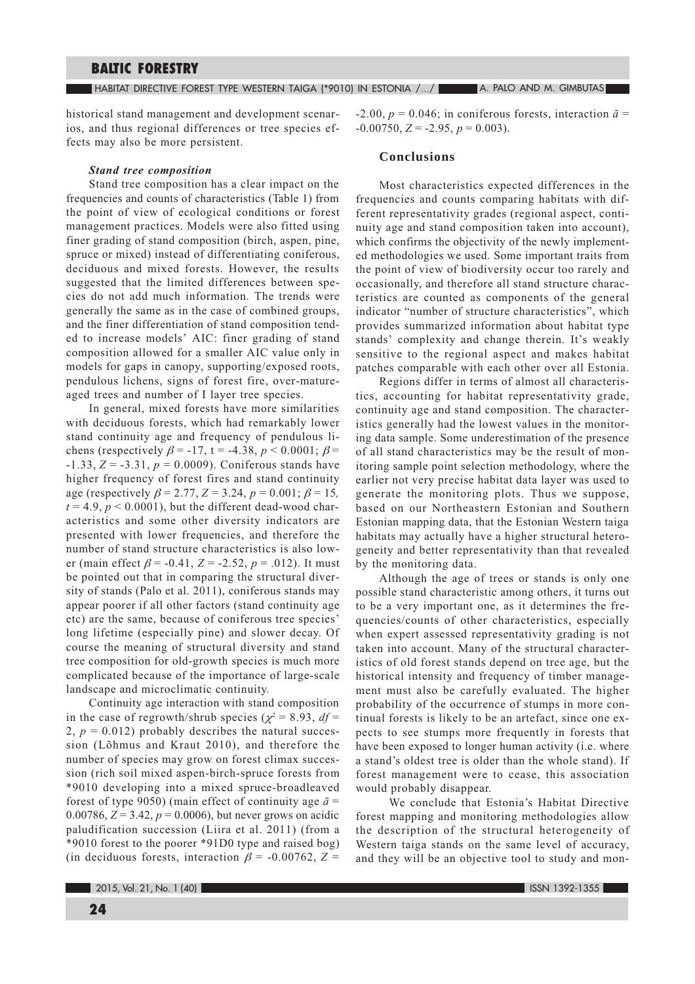HABITAT DIRECTIVE FOREST TYPE WESTERN TAIGA (\*9010) IN ESTONIA /.../ A. PALO AND M. GIMBUTAS

historical stand management and development scenarios, and thus regional differences or tree species effects may also be more persistent.

# **Stand tree composition**

Stand tree composition has a clear impact on the frequencies and counts of characteristics (Table 1) from the point of view of ecological conditions or forest management practices. Models were also fitted using finer grading of stand composition (birch, aspen, pine, spruce or mixed) instead of differentiating coniferous, deciduous and mixed forests. However, the results suggested that the limited differences between species do not add much information. The trends were generally the same as in the case of combined groups, and the finer differentiation of stand composition tended to increase models' AIC: finer grading of stand composition allowed for a smaller AIC value only in models for gaps in canopy, supporting/exposed roots, pendulous lichens, signs of forest fire, over-matureaged trees and number of I layer tree species.

In general, mixed forests have more similarities with deciduous forests, which had remarkably lower stand continuity age and frequency of pendulous lichens (respectively  $\beta$  = -17, t = -4.38,  $p < 0.0001$ ;  $\beta$  =  $-1.33, Z = -3.31, p = 0.0009$ . Coniferous stands have higher frequency of forest fires and stand continuity age (respectively  $\beta$  = 2.77, Z = 3.24, p = 0.001;  $\beta$  = 15,  $t = 4.9$ ,  $p < 0.0001$ , but the different dead-wood characteristics and some other diversity indicators are presented with lower frequencies, and therefore the number of stand structure characteristics is also lower (main effect  $\beta$  = -0.41, Z = -2.52, p = .012). It must be pointed out that in comparing the structural diversity of stands (Palo et al. 2011), coniferous stands may appear poorer if all other factors (stand continuity age etc) are the same, because of coniferous tree species' long lifetime (especially pine) and slower decay. Of course the meaning of structural diversity and stand tree composition for old-growth species is much more complicated because of the importance of large-scale landscape and microclimatic continuity.

Continuity age interaction with stand composition in the case of regrowth/shrub species ( $\chi^2$  = 8.93, df = 2,  $p = 0.012$ ) probably describes the natural succession (Lõhmus and Kraut 2010), and therefore the number of species may grow on forest climax succession (rich soil mixed aspen-birch-spruce forests from \*9010 developing into a mixed spruce-broadleaved forest of type 9050) (main effect of continuity age  $\bar{a}$  = 0.00786,  $Z = 3.42$ ,  $p = 0.0006$ ), but never grows on acidic paludification succession (Liira et al. 2011) (from a \*9010 forest to the poorer \*91D0 type and raised bog) (in deciduous forests, interaction  $\beta$  = -0.00762, Z =

-2.00,  $p = 0.046$ ; in coniferous forests, interaction  $\bar{a}$  =  $-0.00750$ ,  $Z = -2.95$ ,  $p = 0.003$ ).

#### Conclusions

Most characteristics expected differences in the frequencies and counts comparing habitats with different representativity grades (regional aspect, continuity age and stand composition taken into account), which confirms the objectivity of the newly implemented methodologies we used. Some important traits from the point of view of biodiversity occur too rarely and occasionally, and therefore all stand structure characteristics are counted as components of the general indicator "number of structure characteristics", which provides summarized information about habitat type stands' complexity and change therein. It's weakly sensitive to the regional aspect and makes habitat patches comparable with each other over all Estonia.

Regions differ in terms of almost all characteristics, accounting for habitat representativity grade, continuity age and stand composition. The characteristics generally had the lowest values in the monitoring data sample. Some underestimation of the presence of all stand characteristics may be the result of monitoring sample point selection methodology, where the earlier not very precise habitat data layer was used to generate the monitoring plots. Thus we suppose, based on our Northeastern Estonian and Southern Estonian mapping data, that the Estonian Western taiga habitats may actually have a higher structural heterogeneity and better representativity than that revealed by the monitoring data.

Although the age of trees or stands is only one possible stand characteristic among others, it turns out to be a very important one, as it determines the frequencies/counts of other characteristics, especially when expert assessed representativity grading is not taken into account. Many of the structural characteristics of old forest stands depend on tree age, but the historical intensity and frequency of timber management must also be carefully evaluated. The higher probability of the occurrence of stumps in more continual forests is likely to be an artefact, since one expects to see stumps more frequently in forests that have been exposed to longer human activity (i.e. where a stand's oldest tree is older than the whole stand). If forest management were to cease, this association would probably disappear.

We conclude that Estonia's Habitat Directive forest mapping and monitoring methodologies allow the description of the structural heterogeneity of Western taiga stands on the same level of accuracy, and they will be an objective tool to study and mon-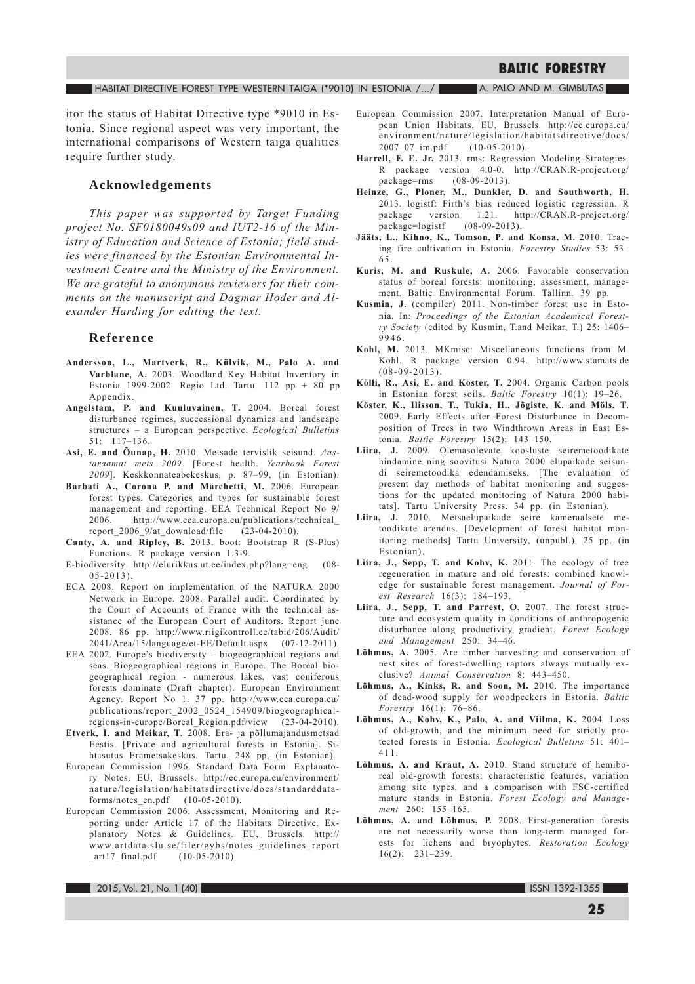#### HABITAT DIRECTIVE FOREST TYPE WESTERN TAIGA (\*9010) IN ESTONIA /.../ A. PALO AND M. GIMBUTAS

itor the status of Habitat Directive type \*9010 in Estonia. Since regional aspect was very important, the international comparisons of Western taiga qualities require further study.

# Acknowledgements

This paper was supported by Target Funding project No. SF0180049s09 and IUT2-16 of the Ministry of Education and Science of Estonia; field studies were financed by the Estonian Environmental Investment Centre and the Ministry of the Environment. We are grateful to anonymous reviewers for their comments on the manuscript and Dagmar Hoder and Alexander Harding for editing the text.

# Reference

- Andersson, L., Martverk, R., Külvik, M., Palo A. and Varblane, A. 2003. Woodland Key Habitat Inventory in Estonia 1999-2002. Regio Ltd. Tartu. 112 pp + 80 pp Annendix.
- Angelstam, P. and Kuuluvainen, T. 2004. Boreal forest disturbance regimes, successional dynamics and landscape structures - a European perspective. Ecological Bulletins  $51: 117-136.$
- Asi, E. and Öunap, H. 2010. Metsade tervislik seisund. Aastaraamat mets 2009. [Forest health. Yearbook Forest 2009]. Keskkonnateabekeskus, p. 87-99, (in Estonian).
- Barbati A., Corona P. and Marchetti, M. 2006. European forest types. Categories and types for sustainable forest management and reporting. EEA Technical Report No 9/ 2006. http://www.eea.europa.eu/publications/technical\_ report\_2006\_9/at\_download/file  $(23-04-2010).$
- Canty, A. and Ripley, B. 2013. boot: Bootstrap R (S-Plus) Functions. R package version 1.3-9.
- E-biodiversity. http://elurikkus.ut.ee/index.php?lang=eng  $(08 05 - 2013$ .
- ECA 2008. Report on implementation of the NATURA 2000 Network in Europe. 2008. Parallel audit. Coordinated by the Court of Accounts of France with the technical assistance of the European Court of Auditors. Report june 2008. 86 pp. http://www.riigikontroll.ee/tabid/206/Audit/ 2041/Area/15/language/et-EE/Default.aspx (07-12-2011).
- EEA 2002. Europe's biodiversity biogeographical regions and seas. Biogeographical regions in Europe. The Boreal biogeographical region - numerous lakes, vast coniferous forests dominate (Draft chapter). European Environment Agency. Report No 1. 37 pp. http://www.eea.europa.eu/ publications/report 2002 0524 154909/biogeographicalregions-in-europe/Boreal\_Region.pdf/view (23-04-2010).
- Etverk, I. and Meikar, T. 2008. Era- ja põllumajandusmetsad Eestis. [Private and agricultural forests in Estonia]. Sihtasutus Erametsakeskus. Tartu. 248 pp, (in Estonian).
- European Commission 1996. Standard Data Form. Explanatory Notes. EU, Brussels. http://ec.europa.eu/environment/ nature/legislation/habitatsdirective/docs/standarddataforms/notes en.pdf  $(10-05-2010)$ .
- European Commission 2006. Assessment, Monitoring and Reporting under Article 17 of the Habitats Directive. Explanatory Notes & Guidelines. EU, Brussels. http:// www.artdata.slu.se/filer/gybs/notes\_guidelines\_report art17 final.pdf  $(10-05-2010)$ .
- European Commission 2007. Interpretation Manual of European Union Habitats. EU, Brussels. http://ec.europa.eu/ environment/nature/legislation/habitatsdirective/docs/  $2007_07_{\text{im.pdf}}$  $(10-05-2010).$
- Harrell, F. E. Jr. 2013. rms: Regression Modeling Strategies. R package version 4.0-0. http://CRAN.R-project.org/ package=rms (08-09-2013).
- Heinze, G., Ploner, M., Dunkler, D. and Southworth, H. 2013. logistf: Firth's bias reduced logistic regression. R package version 1.21. http://CRAN.R-project.org/ package=logistf  $(08-09-2013).$
- Jääts, L., Kihno, K., Tomson, P. and Konsa, M. 2010. Tracing fire cultivation in Estonia. Forestry Studies 53: 53-65.
- Kuris, M. and Ruskule, A. 2006. Favorable conservation status of boreal forests: monitoring, assessment, management. Baltic Environmental Forum. Tallinn. 39 pp.
- Kusmin, J. (compiler) 2011. Non-timber forest use in Estonia. In: Proceedings of the Estonian Academical Forestry Society (edited by Kusmin, T.and Meikar, T.) 25: 1406- $9946$
- Kohl, M. 2013. MKmisc: Miscellaneous functions from M. Kohl. R package version 0.94. http://www.stamats.de  $(08-09-2013)$ .
- Kölli, R., Asi, E. and Köster, T. 2004. Organic Carbon pools in Estonian forest soils. Baltic Forestry 10(1): 19-26.
- Köster, K., Ilisson, T., Tukia, H., Jõgiste, K. and Möls, T. 2009. Early Effects after Forest Disturbance in Decomposition of Trees in two Windthrown Areas in East Estonia. Baltic Forestry 15(2): 143-150.
- Liira, J. 2009. Olemasolevate koosluste seiremetoodikate hindamine ning soovitusi Natura 2000 elupaikade seisundi seiremetoodika edendamiseks. [The evaluation of present day methods of habitat monitoring and suggestions for the updated monitoring of Natura 2000 habitats]. Tartu University Press. 34 pp. (in Estonian).
- Liira, J. 2010. Metsaelupaikade seire kameraalsete metoodikate arendus. [Development of forest habitat monitoring methods] Tartu University, (unpubl.). 25 pp, (in Estonian).
- Liira, J., Sepp, T. and Kohv, K. 2011. The ecology of tree regeneration in mature and old forests: combined knowledge for sustainable forest management. Journal of Forest Research 16(3): 184-193.
- Liira, J., Sepp, T. and Parrest, O. 2007. The forest structure and ecosystem quality in conditions of anthropogenic disturbance along productivity gradient. Forest Ecology and Management 250: 34-46.
- Lõhmus, A. 2005. Are timber harvesting and conservation of nest sites of forest-dwelling raptors always mutually exclusive? Animal Conservation 8: 443-450.
- Lõhmus, A., Kinks, R. and Soon, M. 2010. The importance of dead-wood supply for woodpeckers in Estonia. Baltic Forestry 16(1): 76-86.
- Lõhmus, A., Kohv, K., Palo, A. and Viilma, K. 2004. Loss of old-growth, and the minimum need for strictly protected forests in Estonia. Ecological Bulletins 51: 401-411
- Lõhmus, A. and Kraut, A. 2010. Stand structure of hemiboreal old-growth forests: characteristic features, variation among site types, and a comparison with FSC-certified mature stands in Estonia. Forest Ecology and Management 260: 155-165.
- Lõhmus, A. and Lõhmus, P. 2008. First-generation forests are not necessarily worse than long-term managed forests for lichens and bryophytes. Restoration Ecology  $16(2): 231-239.$

ISSN 1392-1355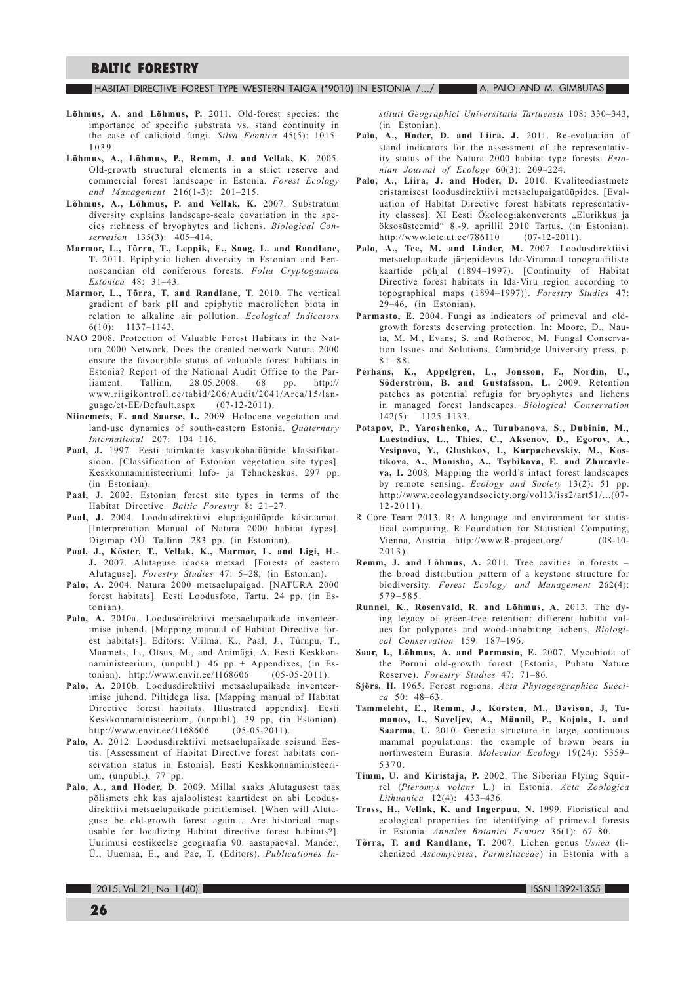#### $\blacksquare$  Habitat directive forest type western taiga (\*9010) in estonia /.../  $\blacksquare$  A. Palo and M. Gimbutas

- Lõhmus, A. and Lõhmus, P. 2011. Old-forest species: the importance of specific substrata vs. stand continuity in the case of calicioid fungi. Silva Fennica 45(5): 1015-1039.
- Lõhmus, A., Lõhmus, P., Remm, J. and Vellak, K. 2005. Old-growth structural elements in a strict reserve and commercial forest landscape in Estonia. Forest Ecology and Management 216(1-3): 201-215.
- Lõhmus, A., Lõhmus, P. and Vellak, K. 2007. Substratum diversity explains landscape-scale covariation in the species richness of bryophytes and lichens. Biological Conservation 135(3): 405-414.
- Marmor, L., Tõrra, T., Leppik, E., Saag, L. and Randlane, T. 2011. Epiphytic lichen diversity in Estonian and Fennoscandian old coniferous forests. Folia Cryptogamica Estonica  $48 \cdot 31 - 43$
- Marmor, L., Tõrra, T. and Randlane, T. 2010. The vertical gradient of bark pH and epiphytic macrolichen biota in relation to alkaline air pollution. Ecological Indicators  $6(10): 1137-1143.$
- NAO 2008. Protection of Valuable Forest Habitats in the Natura 2000 Network. Does the created network Natura 2000 ensure the favourable status of valuable forest habitats in Estonia? Report of the National Audit Office to the Par-Tallinn, 28.05.2008. 68 pp. http:// liament. www.riigikontroll.ee/tabid/206/Audit/2041/Area/15/language/et-EE/Default.aspx  $(07-12-2011)$ .
- Niinemets, E. and Saarse, L. 2009. Holocene vegetation and land-use dynamics of south-eastern Estonia. Quaternary International  $207: 104-116$ .
- Paal, J. 1997. Eesti taimkatte kasvukohatüüpide klassifikatsioon. [Classification of Estonian vegetation site types]. Keskkonnaministeeriumi Info- ja Tehnokeskus. 297 pp. (in Estonian).
- Paal, J. 2002. Estonian forest site types in terms of the Habitat Directive. Baltic Forestry 8: 21-27.
- Paal, J. 2004. Loodusdirektiivi elupaigatüüpide käsiraamat. [Interpretation Manual of Natura 2000 habitat types]. Digimap OÜ. Tallinn. 283 pp. (in Estonian).
- Paal, J., Köster, T., Vellak, K., Marmor, L. and Ligi, H.-J. 2007. Alutaguse idaosa metsad. [Forests of eastern Alutaguse]. Forestry Studies 47: 5-28, (in Estonian).
- Palo, A. 2004. Natura 2000 metsaelupaigad. [NATURA 2000 forest habitats]. Eesti Loodusfoto, Tartu. 24 pp. (in Estonian).
- Palo, A. 2010a. Loodusdirektiivi metsaelupaikade inventeerimise juhend. [Mapping manual of Habitat Directive forest habitats]. Editors: Viilma, K., Paal, J., Türnpu, T., Maamets, L., Otsus, M., and Animägi, A. Eesti Keskkonnaministeerium, (unpubl.). 46 pp + Appendixes, (in Estonian). http://www.envir.ee/1168606  $(05-05-2011).$
- Palo, A. 2010b. Loodusdirektiivi metsaelupaikade inventeerimise juhend. Piltidega lisa. [Mapping manual of Habitat Directive forest habitats. Illustrated appendix]. Eesti Keskkonnaministeerium, (unpubl.). 39 pp, (in Estonian).  $(05-05-2011).$ http://www.envir.ee/1168606
- Palo, A. 2012. Loodusdirektiivi metsaelupaikade seisund Eestis. [Assessment of Habitat Directive forest habitats conservation status in Estonial. Eesti Keskkonnaministeerium, (unpubl.). 77 pp.
- Palo, A., and Hoder, D. 2009. Millal saaks Alutagusest taas põlismets ehk kas ajaloolistest kaartidest on abi Loodusdirektiivi metsaelupaikade piiritlemisel. [When will Alutaguse be old-growth forest again... Are historical maps usable for localizing Habitat directive forest habitats?]. Uurimusi eestikeelse geograafia 90. aastapäeval. Mander, Ü., Uuemaa, E., and Pae, T. (Editors). Publicationes In-

stituti Geographici Universitatis Tartuensis 108: 330-343, (in Estonian).

- Palo, A., Hoder, D. and Liira. J. 2011. Re-evaluation of stand indicators for the assessment of the representativity status of the Natura 2000 habitat type forests. Estonian Journal of Ecology 60(3): 209-224.
- Palo, A., Liira, J. and Hoder, D. 2010. Kvaliteediastmete eristamisest loodusdirektiivi metsaelupaigatüüpides. [Evaluation of Habitat Directive forest habitats representativity classes]. XI Eesti Ökoloogiakonverents "Elurikkus ja öksosüsteemid" 8.-9. aprillil 2010 Tartus, (in Estonian).  $(07-12-2011)$ . http://www.lote.ut.ee/786110
- Palo, A., Tee, M. and Linder, M. 2007. Loodusdirektiivi metsaelupaikade järjepidevus Ida-Virumaal topograafiliste kaartide põhjal (1894–1997). [Continuity of Habitat Directive forest habitats in Ida-Viru region according to topographical maps (1894-1997)]. Forestry Studies 47:  $29-46$ , (in Estonian).
- Parmasto, E. 2004. Fungi as indicators of primeval and oldgrowth forests deserving protection. In: Moore, D., Nauta, M. M., Evans, S. and Rotheroe, M. Fungal Conservation Issues and Solutions. Cambridge University press, p.  $81 - 88.$
- Perhans, K., Appelgren, L., Jonsson, F., Nordin, U., Söderström, B. and Gustafsson, L. 2009. Retention patches as potential refugia for bryophytes and lichens in managed forest landscapes. Biological Conservation  $142(5): 1125-1133.$
- Potapov, P., Yaroshenko, A., Turubanova, S., Dubinin, M., Laestadius, L., Thies, C., Aksenov, D., Egorov, A., Yesipova, Y., Glushkov, I., Karpachevskiy, M., Kostikova, A., Manisha, A., Tsybikova, E. and Zhuravleva, I. 2008. Mapping the world's intact forest landscapes by remote sensing. Ecology and Society 13(2): 51 pp. http://www.ecologyandsociety.org/vol13/iss2/art51/...(07- $12 - 2011$ .
- R Core Team 2013. R: A language and environment for statistical computing. R Foundation for Statistical Computing, Vienna, Austria. http://www.R-project.org/  $(08-10 2013$ .
- Remm, J. and Lõhmus, A. 2011. Tree cavities in forests the broad distribution pattern of a keystone structure for biodiversity. Forest Ecology and Management 262(4):  $579 - 585$ .
- Runnel, K., Rosenvald, R. and Lõhmus, A. 2013. The dying legacy of green-tree retention: different habitat values for polypores and wood-inhabiting lichens. Biological Conservation 159: 187-196.
- Saar, I., Lõhmus, A. and Parmasto, E. 2007. Mycobiota of the Poruni old-growth forest (Estonia, Puhatu Nature Reserve). Forestry Studies 47: 71-86.
- Sjörs, H. 1965. Forest regions. Acta Phytogeographica Sueci $ca$  50: 48-63.
- Tammeleht, E., Remm, J., Korsten, M., Davison, J, Tumanov, I., Saveljev, A., Männil, P., Kojola, I. and Saarma, U. 2010. Genetic structure in large, continuous mammal populations: the example of brown bears in northwestern Eurasia. Molecular Ecology 19(24): 5359-5370
- Timm, U. and Kiristaja, P. 2002. The Siberian Flying Squirrel (Pteromys volans L.) in Estonia. Acta Zoologica Lithuanica 12(4): 433-436.
- Trass, H., Vellak, K. and Ingerpuu, N. 1999. Floristical and ecological properties for identifying of primeval forests in Estonia. Annales Botanici Fennici 36(1): 67-80.
- Tõrra, T. and Randlane, T. 2007. Lichen genus Usnea (lichenized Ascomycetes, Parmeliaceae) in Estonia with a